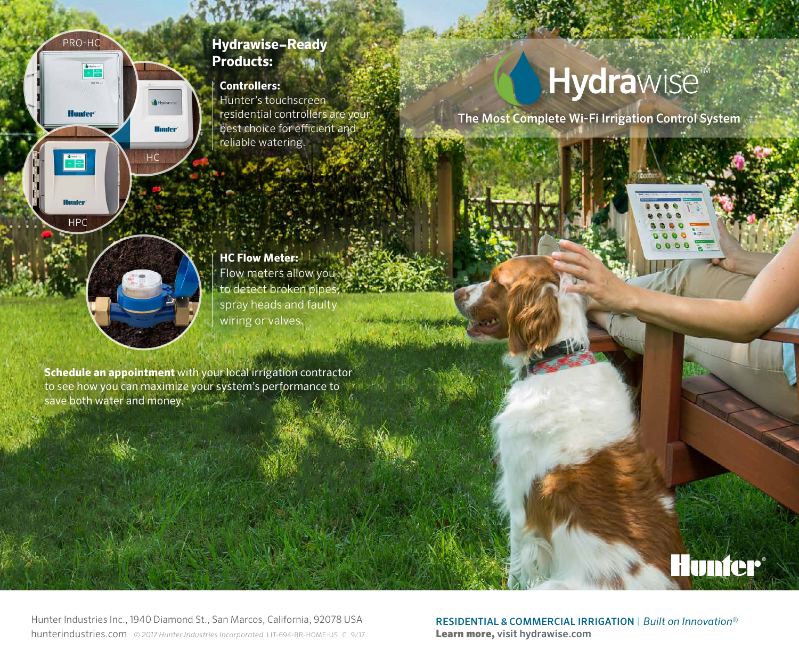

# **Controllers:**

Hunter's touchscreen residential controllers are your best choice for efficient and reliable watering.

# **Hydra**wise

The Most Complete Wi-Fi Irrigation Control System



HC

**Hunter** 

HPC

FE

PRO-HC

**Hunter** 

**HC Flow Meter:** Flow meters allow you to detect broken pipes, spray heads and faulty wiring or valves.

**Schedule an appointment** with your local irrigation contractor to see how you can maximize your system's performance to save both water and money.

Hunter Industries Inc., 1940 Diamond St., San Marcos, California, 92078 USA hunterindustries.com *© 2017 Hunter Industries Incorporated* LIT-694-BR-HOME-US C 9/17

RESIDENTIAL & COMMERCIAL IRRIGATION | *Built on Innovation*® Learn more, visit hydrawise.com

**Hunter**